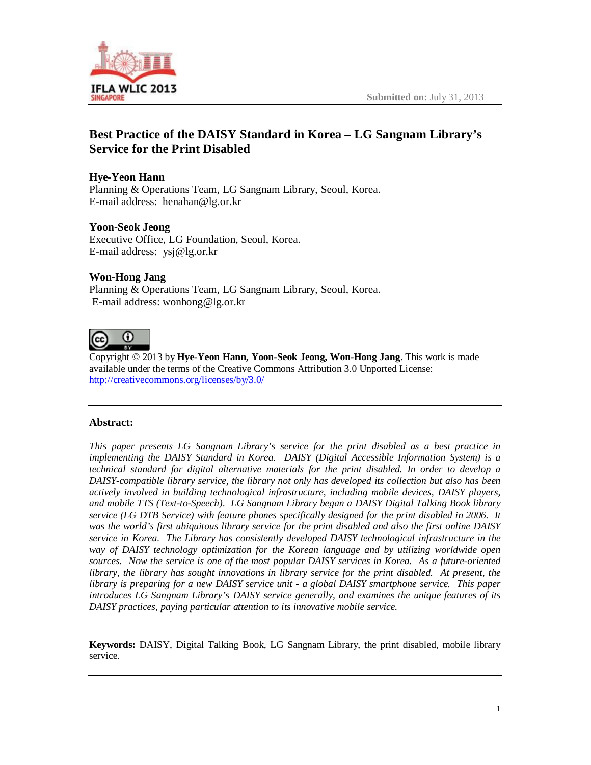

# **Best Practice of the DAISY Standard in Korea – LG Sangnam Library's Service for the Print Disabled**

### **Hye-Yeon Hann**

Planning & Operations Team, LG Sangnam Library, Seoul, Korea. E-mail address: [henahan@lg.or.kr](mailto:henahan@lg.or.kr)

#### **Yoon-Seok Jeong**

Executive Office, LG Foundation, Seoul, Korea. E-mail address: [ysj@lg.or.kr](mailto:ysj@lg.or.kr)

#### **Won-Hong Jang**

Planning & Operations Team, LG Sangnam Library, Seoul, Korea. E-mail address: [wonhong@lg.or.kr](mailto:wonhong@lg.or.kr)



Copyright © 2013 by **Hye-Yeon Hann, Yoon-Seok Jeong, Won-Hong Jang**. This work is made available under the terms of the Creative Commons Attribution 3.0 Unported License: <http://creativecommons.org/licenses/by/3.0/>

#### **Abstract:**

*This paper presents LG Sangnam Library's service for the print disabled as a best practice in implementing the DAISY Standard in Korea. DAISY (Digital Accessible Information System) is a technical standard for digital alternative materials for the print disabled. In order to develop a DAISY-compatible library service, the library not only has developed its collection but also has been actively involved in building technological infrastructure, including mobile devices, DAISY players, and mobile TTS (Text-to-Speech). LG Sangnam Library began a DAISY Digital Talking Book library service (LG DTB Service) with feature phones specifically designed for the print disabled in 2006. It was the world's first ubiquitous library service for the print disabled and also the first online DAISY service in Korea. The Library has consistently developed DAISY technological infrastructure in the way of DAISY technology optimization for the Korean language and by utilizing worldwide open sources. Now the service is one of the most popular DAISY services in Korea. As a future-oriented library, the library has sought innovations in library service for the print disabled. At present, the library is preparing for a new DAISY service unit - a global DAISY smartphone service. This paper introduces LG Sangnam Library's DAISY service generally, and examines the unique features of its DAISY practices, paying particular attention to its innovative mobile service.*

**Keywords:** DAISY, Digital Talking Book, LG Sangnam Library, the print disabled, mobile library service.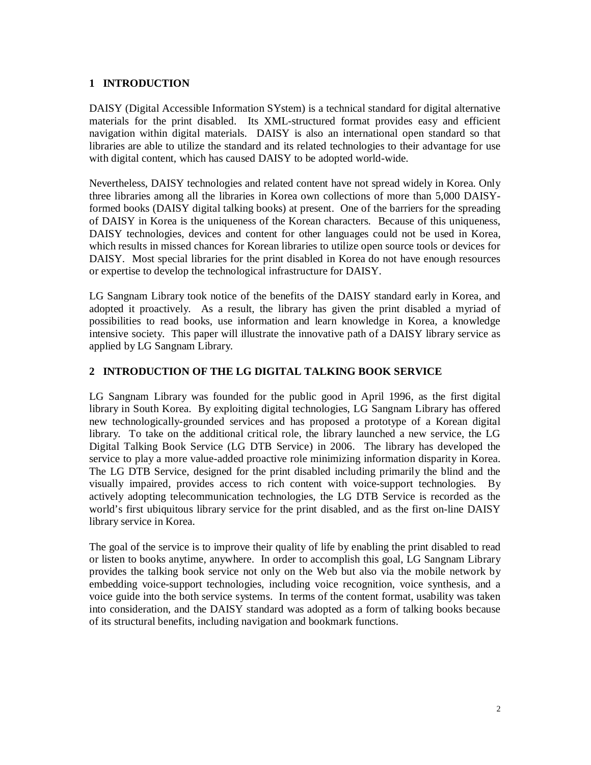### **1 INTRODUCTION**

DAISY (Digital Accessible Information SYstem) is a technical standard for digital alternative materials for the print disabled. Its XML-structured format provides easy and efficient navigation within digital materials. DAISY is also an international open standard so that libraries are able to utilize the standard and its related technologies to their advantage for use with digital content, which has caused DAISY to be adopted world-wide.

Nevertheless, DAISY technologies and related content have not spread widely in Korea. Only three libraries among all the libraries in Korea own collections of more than 5,000 DAISYformed books (DAISY digital talking books) at present. One of the barriers for the spreading of DAISY in Korea is the uniqueness of the Korean characters. Because of this uniqueness, DAISY technologies, devices and content for other languages could not be used in Korea, which results in missed chances for Korean libraries to utilize open source tools or devices for DAISY. Most special libraries for the print disabled in Korea do not have enough resources or expertise to develop the technological infrastructure for DAISY.

LG Sangnam Library took notice of the benefits of the DAISY standard early in Korea, and adopted it proactively. As a result, the library has given the print disabled a myriad of possibilities to read books, use information and learn knowledge in Korea, a knowledge intensive society. This paper will illustrate the innovative path of a DAISY library service as applied by LG Sangnam Library.

## **2 INTRODUCTION OF THE LG DIGITAL TALKING BOOK SERVICE**

LG Sangnam Library was founded for the public good in April 1996, as the first digital library in South Korea. By exploiting digital technologies, LG Sangnam Library has offered new technologically-grounded services and has proposed a prototype of a Korean digital library. To take on the additional critical role, the library launched a new service, the LG Digital Talking Book Service (LG DTB Service) in 2006. The library has developed the service to play a more value-added proactive role minimizing information disparity in Korea. The LG DTB Service, designed for the print disabled including primarily the blind and the visually impaired, provides access to rich content with voice-support technologies. By actively adopting telecommunication technologies, the LG DTB Service is recorded as the world's first ubiquitous library service for the print disabled, and as the first on-line DAISY library service in Korea.

The goal of the service is to improve their quality of life by enabling the print disabled to read or listen to books anytime, anywhere. In order to accomplish this goal, LG Sangnam Library provides the talking book service not only on the Web but also via the mobile network by embedding voice-support technologies, including voice recognition, voice synthesis, and a voice guide into the both service systems. In terms of the content format, usability was taken into consideration, and the DAISY standard was adopted as a form of talking books because of its structural benefits, including navigation and bookmark functions.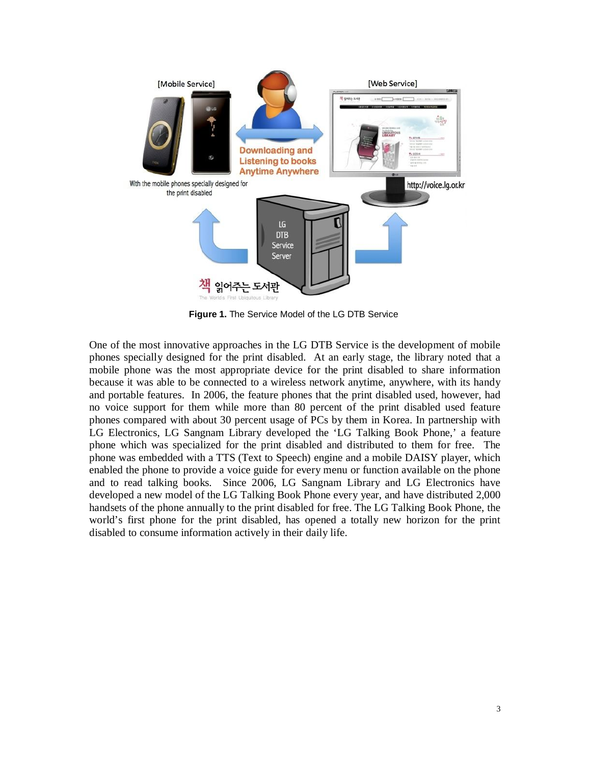

**Figure 1.** The Service Model of the LG DTB Service

One of the most innovative approaches in the LG DTB Service is the development of mobile phones specially designed for the print disabled. At an early stage, the library noted that a mobile phone was the most appropriate device for the print disabled to share information because it was able to be connected to a wireless network anytime, anywhere, with its handy and portable features. In 2006, the feature phones that the print disabled used, however, had no voice support for them while more than 80 percent of the print disabled used feature phones compared with about 30 percent usage of PCs by them in Korea. In partnership with LG Electronics, LG Sangnam Library developed the 'LG Talking Book Phone,' a feature phone which was specialized for the print disabled and distributed to them for free. The phone was embedded with a TTS (Text to Speech) engine and a mobile DAISY player, which enabled the phone to provide a voice guide for every menu or function available on the phone and to read talking books. Since 2006, LG Sangnam Library and LG Electronics have developed a new model of the LG Talking Book Phone every year, and have distributed 2,000 handsets of the phone annually to the print disabled for free. The LG Talking Book Phone, the world's first phone for the print disabled, has opened a totally new horizon for the print disabled to consume information actively in their daily life.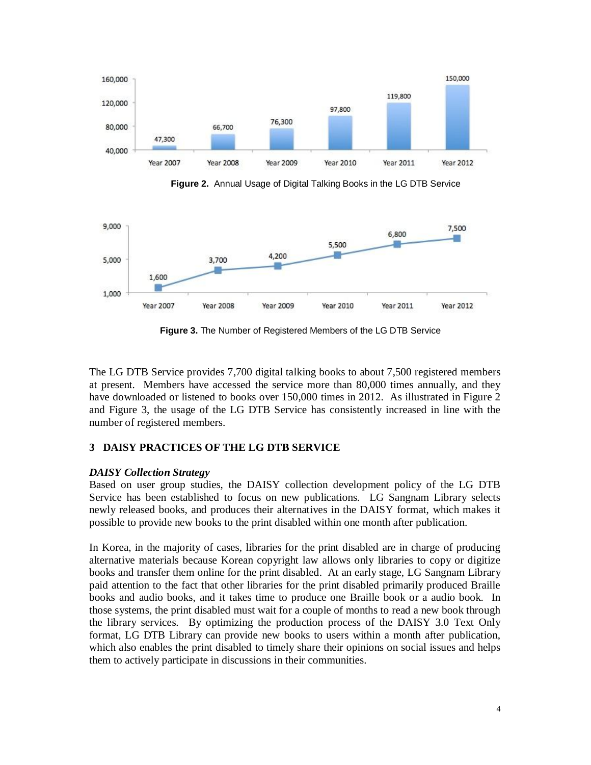

**Figure 2.** Annual Usage of Digital Talking Books in the LG DTB Service



**Figure 3.** The Number of Registered Members of the LG DTB Service

The LG DTB Service provides 7,700 digital talking books to about 7,500 registered members at present. Members have accessed the service more than 80,000 times annually, and they have downloaded or listened to books over 150,000 times in 2012. As illustrated in Figure 2 and Figure 3, the usage of the LG DTB Service has consistently increased in line with the number of registered members.

## **3 DAISY PRACTICES OF THE LG DTB SERVICE**

## *DAISY Collection Strategy*

Based on user group studies, the DAISY collection development policy of the LG DTB Service has been established to focus on new publications. LG Sangnam Library selects newly released books, and produces their alternatives in the DAISY format, which makes it possible to provide new books to the print disabled within one month after publication.

In Korea, in the majority of cases, libraries for the print disabled are in charge of producing alternative materials because Korean copyright law allows only libraries to copy or digitize books and transfer them online for the print disabled. At an early stage, LG Sangnam Library paid attention to the fact that other libraries for the print disabled primarily produced Braille books and audio books, and it takes time to produce one Braille book or a audio book. In those systems, the print disabled must wait for a couple of months to read a new book through the library services. By optimizing the production process of the DAISY 3.0 Text Only format, LG DTB Library can provide new books to users within a month after publication, which also enables the print disabled to timely share their opinions on social issues and helps them to actively participate in discussions in their communities.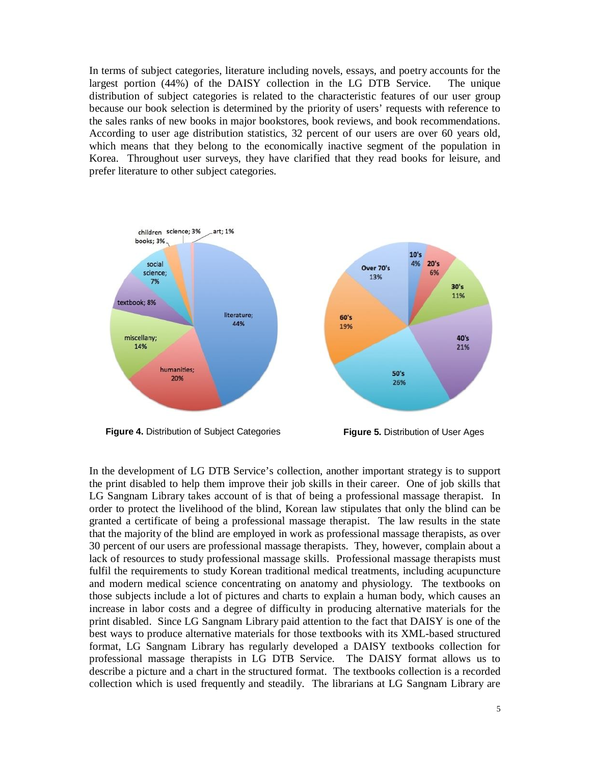In terms of subject categories, literature including novels, essays, and poetry accounts for the largest portion (44%) of the DAISY collection in the LG DTB Service. The unique distribution of subject categories is related to the characteristic features of our user group because our book selection is determined by the priority of users' requests with reference to the sales ranks of new books in major bookstores, book reviews, and book recommendations. According to user age distribution statistics, 32 percent of our users are over 60 years old, which means that they belong to the economically inactive segment of the population in Korea. Throughout user surveys, they have clarified that they read books for leisure, and prefer literature to other subject categories.



**Figure 4.** Distribution of Subject Categories **Figure 5.** Distribution of User Ages

In the development of LG DTB Service's collection, another important strategy is to support the print disabled to help them improve their job skills in their career. One of job skills that LG Sangnam Library takes account of is that of being a professional massage therapist. In order to protect the livelihood of the blind, Korean law stipulates that only the blind can be granted a certificate of being a professional massage therapist. The law results in the state that the majority of the blind are employed in work as professional massage therapists, as over 30 percent of our users are professional massage therapists. They, however, complain about a lack of resources to study professional massage skills. Professional massage therapists must fulfil the requirements to study Korean traditional medical treatments, including acupuncture and modern medical science concentrating on anatomy and physiology. The textbooks on those subjects include a lot of pictures and charts to explain a human body, which causes an increase in labor costs and a degree of difficulty in producing alternative materials for the print disabled. Since LG Sangnam Library paid attention to the fact that DAISY is one of the best ways to produce alternative materials for those textbooks with its XML-based structured format, LG Sangnam Library has regularly developed a DAISY textbooks collection for professional massage therapists in LG DTB Service. The DAISY format allows us to describe a picture and a chart in the structured format. The textbooks collection is a recorded collection which is used frequently and steadily. The librarians at LG Sangnam Library are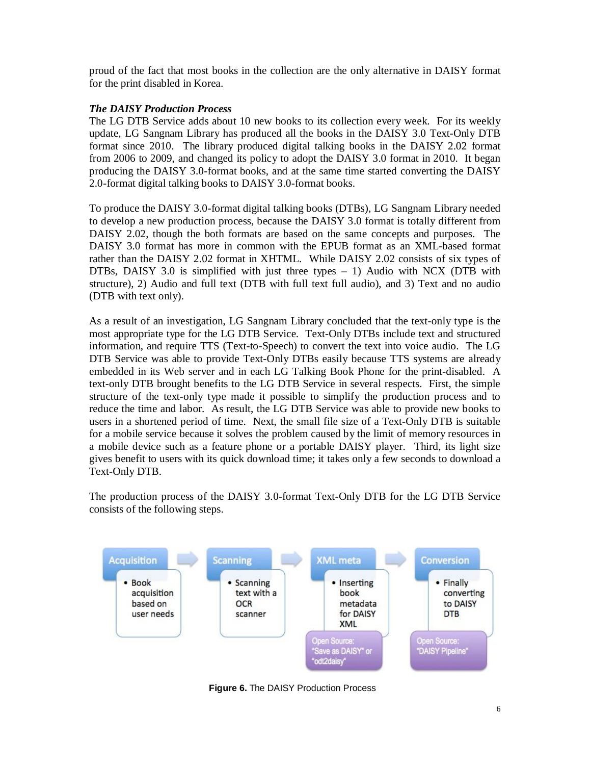proud of the fact that most books in the collection are the only alternative in DAISY format for the print disabled in Korea.

### *The DAISY Production Process*

The LG DTB Service adds about 10 new books to its collection every week. For its weekly update, LG Sangnam Library has produced all the books in the DAISY 3.0 Text-Only DTB format since 2010. The library produced digital talking books in the DAISY 2.02 format from 2006 to 2009, and changed its policy to adopt the DAISY 3.0 format in 2010. It began producing the DAISY 3.0-format books, and at the same time started converting the DAISY 2.0-format digital talking books to DAISY 3.0-format books.

To produce the DAISY 3.0-format digital talking books (DTBs), LG Sangnam Library needed to develop a new production process, because the DAISY 3.0 format is totally different from DAISY 2.02, though the both formats are based on the same concepts and purposes. The DAISY 3.0 format has more in common with the EPUB format as an XML-based format rather than the DAISY 2.02 format in XHTML. While DAISY 2.02 consists of six types of DTBs, DAISY 3.0 is simplified with just three types – 1) Audio with NCX (DTB with structure), 2) Audio and full text (DTB with full text full audio), and 3) Text and no audio (DTB with text only).

As a result of an investigation, LG Sangnam Library concluded that the text-only type is the most appropriate type for the LG DTB Service. Text-Only DTBs include text and structured information, and require TTS (Text-to-Speech) to convert the text into voice audio. The LG DTB Service was able to provide Text-Only DTBs easily because TTS systems are already embedded in its Web server and in each LG Talking Book Phone for the print-disabled. A text-only DTB brought benefits to the LG DTB Service in several respects. First, the simple structure of the text-only type made it possible to simplify the production process and to reduce the time and labor. As result, the LG DTB Service was able to provide new books to users in a shortened period of time. Next, the small file size of a Text-Only DTB is suitable for a mobile service because it solves the problem caused by the limit of memory resources in a mobile device such as a feature phone or a portable DAISY player. Third, its light size gives benefit to users with its quick download time; it takes only a few seconds to download a Text-Only DTB.

The production process of the DAISY 3.0-format Text-Only DTB for the LG DTB Service consists of the following steps.



**Figure 6.** The DAISY Production Process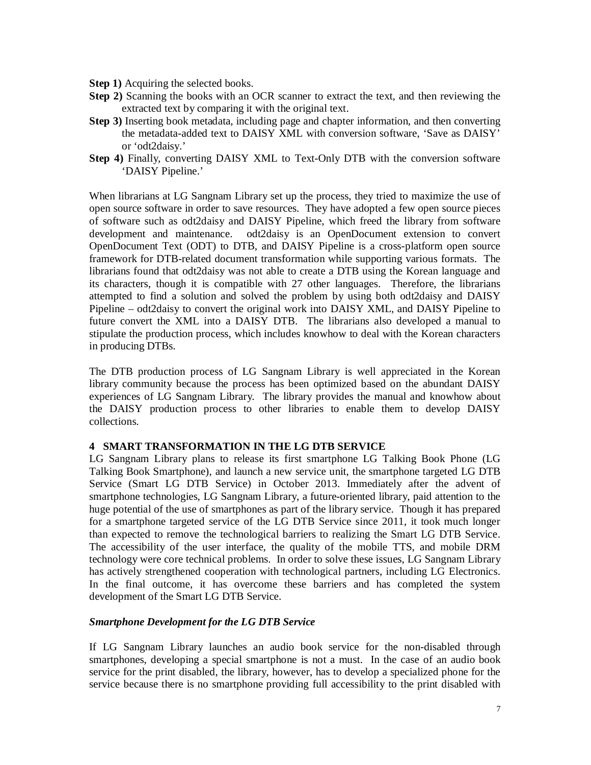- **Step 1)** Acquiring the selected books.
- **Step 2)** Scanning the books with an OCR scanner to extract the text, and then reviewing the extracted text by comparing it with the original text.
- **Step 3)** Inserting book metadata, including page and chapter information, and then converting the metadata-added text to DAISY XML with conversion software, 'Save as DAISY' or 'odt2daisy.'
- **Step 4)** Finally, converting DAISY XML to Text-Only DTB with the conversion software 'DAISY Pipeline.'

When librarians at LG Sangnam Library set up the process, they tried to maximize the use of open source software in order to save resources. They have adopted a few open source pieces of software such as odt2daisy and DAISY Pipeline, which freed the library from software development and maintenance. odt2daisy is an OpenDocument extension to convert OpenDocument Text (ODT) to DTB, and DAISY Pipeline is a cross-platform open source framework for DTB-related document transformation while supporting various formats. The librarians found that odt2daisy was not able to create a DTB using the Korean language and its characters, though it is compatible with 27 other languages. Therefore, the librarians attempted to find a solution and solved the problem by using both odt2daisy and DAISY Pipeline – odt2daisy to convert the original work into DAISY XML, and DAISY Pipeline to future convert the XML into a DAISY DTB. The librarians also developed a manual to stipulate the production process, which includes knowhow to deal with the Korean characters in producing DTBs.

The DTB production process of LG Sangnam Library is well appreciated in the Korean library community because the process has been optimized based on the abundant DAISY experiences of LG Sangnam Library. The library provides the manual and knowhow about the DAISY production process to other libraries to enable them to develop DAISY collections.

#### **4 SMART TRANSFORMATION IN THE LG DTB SERVICE**

LG Sangnam Library plans to release its first smartphone LG Talking Book Phone (LG Talking Book Smartphone), and launch a new service unit, the smartphone targeted LG DTB Service (Smart LG DTB Service) in October 2013. Immediately after the advent of smartphone technologies, LG Sangnam Library, a future-oriented library, paid attention to the huge potential of the use of smartphones as part of the library service. Though it has prepared for a smartphone targeted service of the LG DTB Service since 2011, it took much longer than expected to remove the technological barriers to realizing the Smart LG DTB Service. The accessibility of the user interface, the quality of the mobile TTS, and mobile DRM technology were core technical problems. In order to solve these issues, LG Sangnam Library has actively strengthened cooperation with technological partners, including LG Electronics. In the final outcome, it has overcome these barriers and has completed the system development of the Smart LG DTB Service.

#### *Smartphone Development for the LG DTB Service*

If LG Sangnam Library launches an audio book service for the non-disabled through smartphones, developing a special smartphone is not a must. In the case of an audio book service for the print disabled, the library, however, has to develop a specialized phone for the service because there is no smartphone providing full accessibility to the print disabled with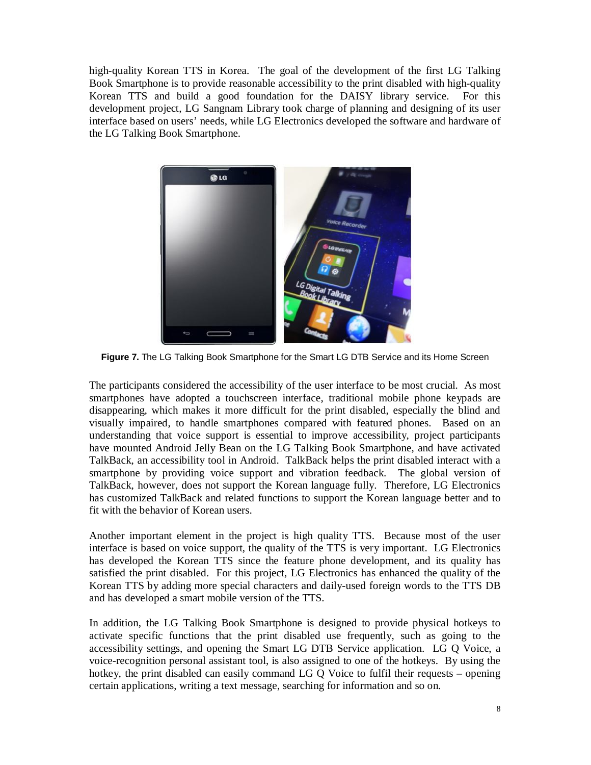high-quality Korean TTS in Korea. The goal of the development of the first LG Talking Book Smartphone is to provide reasonable accessibility to the print disabled with high-quality Korean TTS and build a good foundation for the DAISY library service. For this development project, LG Sangnam Library took charge of planning and designing of its user interface based on users' needs, while LG Electronics developed the software and hardware of the LG Talking Book Smartphone.



**Figure 7.** The LG Talking Book Smartphone for the Smart LG DTB Service and its Home Screen

The participants considered the accessibility of the user interface to be most crucial. As most smartphones have adopted a touchscreen interface, traditional mobile phone keypads are disappearing, which makes it more difficult for the print disabled, especially the blind and visually impaired, to handle smartphones compared with featured phones. Based on an understanding that voice support is essential to improve accessibility, project participants have mounted Android Jelly Bean on the LG Talking Book Smartphone, and have activated TalkBack, an accessibility tool in Android. TalkBack helps the print disabled interact with a smartphone by providing voice support and vibration feedback. The global version of TalkBack, however, does not support the Korean language fully. Therefore, LG Electronics has customized TalkBack and related functions to support the Korean language better and to fit with the behavior of Korean users.

Another important element in the project is high quality TTS. Because most of the user interface is based on voice support, the quality of the TTS is very important. LG Electronics has developed the Korean TTS since the feature phone development, and its quality has satisfied the print disabled. For this project, LG Electronics has enhanced the quality of the Korean TTS by adding more special characters and daily-used foreign words to the TTS DB and has developed a smart mobile version of the TTS.

In addition, the LG Talking Book Smartphone is designed to provide physical hotkeys to activate specific functions that the print disabled use frequently, such as going to the accessibility settings, and opening the Smart LG DTB Service application. LG Q Voice, a voice-recognition personal assistant tool, is also assigned to one of the hotkeys. By using the hotkey, the print disabled can easily command LG Q Voice to fulfil their requests – opening certain applications, writing a text message, searching for information and so on.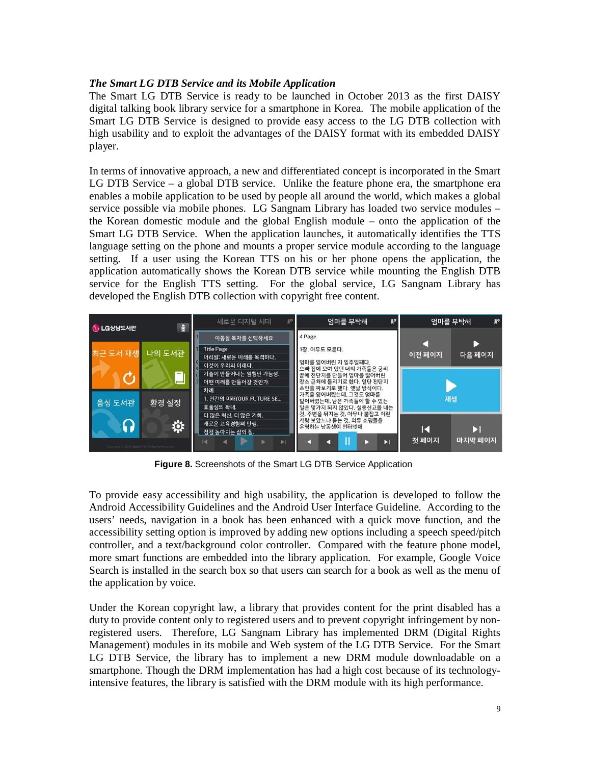### *The Smart LG DTB Service and its Mobile Application*

The Smart LG DTB Service is ready to be launched in October 2013 as the first DAISY digital talking book library service for a smartphone in Korea. The mobile application of the Smart LG DTB Service is designed to provide easy access to the LG DTB collection with high usability and to exploit the advantages of the DAISY format with its embedded DAISY player.

In terms of innovative approach, a new and differentiated concept is incorporated in the Smart LG DTB Service – a global DTB service. Unlike the feature phone era, the smartphone era enables a mobile application to be used by people all around the world, which makes a global service possible via mobile phones. LG Sangnam Library has loaded two service modules – the Korean domestic module and the global English module – onto the application of the Smart LG DTB Service. When the application launches, it automatically identifies the TTS language setting on the phone and mounts a proper service module according to the language setting. If a user using the Korean TTS on his or her phone opens the application, the application automatically shows the Korean DTB service while mounting the English DTB service for the English TTS setting. For the global service, LG Sangnam Library has developed the English DTB collection with copyright free content.



**Figure 8.** Screenshots of the Smart LG DTB Service Application

To provide easy accessibility and high usability, the application is developed to follow the Android Accessibility Guidelines and the Android User Interface Guideline. According to the users' needs, navigation in a book has been enhanced with a quick move function, and the accessibility setting option is improved by adding new options including a speech speed/pitch controller, and a text/background color controller. Compared with the feature phone model, more smart functions are embedded into the library application. For example, Google Voice Search is installed in the search box so that users can search for a book as well as the menu of the application by voice.

Under the Korean copyright law, a library that provides content for the print disabled has a duty to provide content only to registered users and to prevent copyright infringement by nonregistered users. Therefore, LG Sangnam Library has implemented DRM (Digital Rights Management) modules in its mobile and Web system of the LG DTB Service. For the Smart LG DTB Service, the library has to implement a new DRM module downloadable on a smartphone. Though the DRM implementation has had a high cost because of its technologyintensive features, the library is satisfied with the DRM module with its high performance.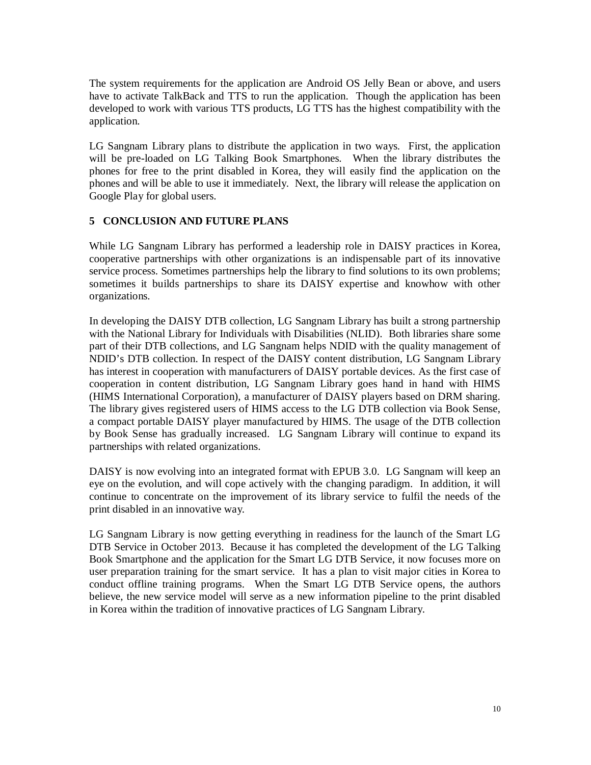The system requirements for the application are Android OS Jelly Bean or above, and users have to activate TalkBack and TTS to run the application. Though the application has been developed to work with various TTS products, LG TTS has the highest compatibility with the application.

LG Sangnam Library plans to distribute the application in two ways. First, the application will be pre-loaded on LG Talking Book Smartphones. When the library distributes the phones for free to the print disabled in Korea, they will easily find the application on the phones and will be able to use it immediately. Next, the library will release the application on Google Play for global users.

### **5 CONCLUSION AND FUTURE PLANS**

While LG Sangnam Library has performed a leadership role in DAISY practices in Korea, cooperative partnerships with other organizations is an indispensable part of its innovative service process. Sometimes partnerships help the library to find solutions to its own problems; sometimes it builds partnerships to share its DAISY expertise and knowhow with other organizations.

In developing the DAISY DTB collection, LG Sangnam Library has built a strong partnership with the National Library for Individuals with Disabilities (NLID). Both libraries share some part of their DTB collections, and LG Sangnam helps NDID with the quality management of NDID's DTB collection. In respect of the DAISY content distribution, LG Sangnam Library has interest in cooperation with manufacturers of DAISY portable devices. As the first case of cooperation in content distribution, LG Sangnam Library goes hand in hand with HIMS (HIMS International Corporation), a manufacturer of DAISY players based on DRM sharing. The library gives registered users of HIMS access to the LG DTB collection via Book Sense, a compact portable DAISY player manufactured by HIMS. The usage of the DTB collection by Book Sense has gradually increased. LG Sangnam Library will continue to expand its partnerships with related organizations.

DAISY is now evolving into an integrated format with EPUB 3.0. LG Sangnam will keep an eye on the evolution, and will cope actively with the changing paradigm. In addition, it will continue to concentrate on the improvement of its library service to fulfil the needs of the print disabled in an innovative way.

LG Sangnam Library is now getting everything in readiness for the launch of the Smart LG DTB Service in October 2013. Because it has completed the development of the LG Talking Book Smartphone and the application for the Smart LG DTB Service, it now focuses more on user preparation training for the smart service. It has a plan to visit major cities in Korea to conduct offline training programs. When the Smart LG DTB Service opens, the authors believe, the new service model will serve as a new information pipeline to the print disabled in Korea within the tradition of innovative practices of LG Sangnam Library.